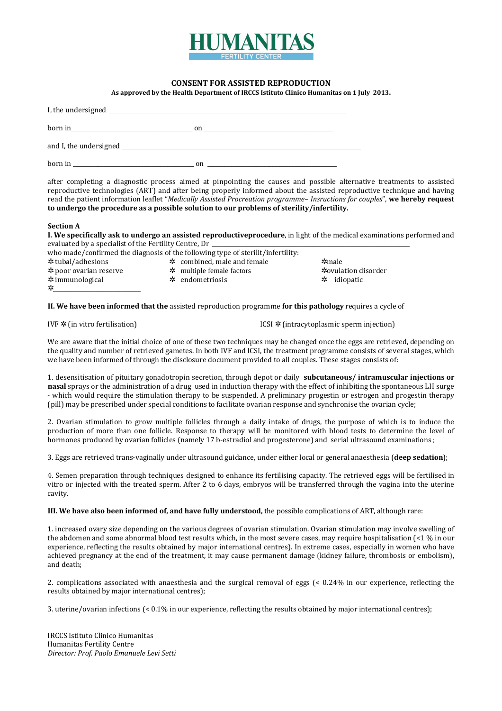

# **CONSENT FOR ASSISTED REPRODUCTION**

**As approved by the Health Department of IRCCS Istituto Clinico Humanitas on 1 July 2013.** 

| $\frac{1}{2}$ born in                                                                                           | $\mathbf{on}$ |
|-----------------------------------------------------------------------------------------------------------------|---------------|
| and I, the undersigned example and the understanding of the state of the state of the state of the state of the |               |
| born in                                                                                                         | on            |

after completing a diagnostic process aimed at pinpointing the causes and possible alternative treatments to assisted reproductive technologies (ART) and after being properly informed about the assisted reproductive technique and having read the patient information leaflet "*Medically Assisted Procreation programme– Insructions for couples*", **we hereby request to undergo the procedure as a possible solution to our problems of sterility/infertility.** 

#### **Section A**

**I. We specifically ask to undergo an assisted reproductiveprocedure**, in light of the medical examinations performed and evaluated by a specialist of the Fertility Centre, Dr

| who made/confirmed the diagnosis of the following type of sterilit/infertility: |  |                                 |  |                     |  |  |
|---------------------------------------------------------------------------------|--|---------------------------------|--|---------------------|--|--|
| $\star$ combined, male and female<br>* tubal/adhesions<br>$*$ male              |  |                                 |  |                     |  |  |
| $*$ poor ovarian reserve                                                        |  | $\star$ multiple female factors |  | *ovulation disorder |  |  |
| $*$ immunological                                                               |  | $\star$ endometriosis           |  | $\star$ idiopatic   |  |  |
| ⊁                                                                               |  |                                 |  |                     |  |  |

**II. We have been informed that the** assisted reproduction programme **for this pathology** requires a cycle of

IVF  $\angle$  (in vitro fertilisation) ICSI  $\angle$  (intracytoplasmic sperm injection)

We are aware that the initial choice of one of these two techniques may be changed once the eggs are retrieved, depending on the quality and number of retrieved gametes. In both IVF and ICSI, the treatment programme consists of several stages, which we have been informed of through the disclosure document provided to all couples. These stages consists of:

1. desensitisation of pituitary gonadotropin secretion, through depot or daily **subcutaneous/ intramuscular injections or nasal** sprays or the administration of a drug used in induction therapy with the effect of inhibiting the spontaneous LH surge - which would require the stimulation therapy to be suspended. A preliminary progestin or estrogen and progestin therapy (pill) may be prescribed under special conditions to facilitate ovarian response and synchronise the ovarian cycle;

2. Ovarian stimulation to grow multiple follicles through a daily intake of drugs, the purpose of which is to induce the production of more than one follicle. Response to therapy will be monitored with blood tests to determine the level of hormones produced by ovarian follicles (namely 17 b-estradiol and progesterone) and serial ultrasound examinations ;

3. Eggs are retrieved trans-vaginally under ultrasound guidance, under either local or general anaesthesia (**deep sedation**);

4. Semen preparation through techniques designed to enhance its fertilising capacity. The retrieved eggs will be fertilised in vitro or injected with the treated sperm. After 2 to 6 days, embryos will be transferred through the vagina into the uterine cavity.

**III. We have also been informed of, and have fully understood,** the possible complications of ART, although rare:

1. increased ovary size depending on the various degrees of ovarian stimulation. Ovarian stimulation may involve swelling of the abdomen and some abnormal blood test results which, in the most severe cases, may require hospitalisation (<1 % in our experience, reflecting the results obtained by major international centres). In extreme cases, especially in women who have achieved pregnancy at the end of the treatment, it may cause permanent damage (kidney failure, thrombosis or embolism), and death;

2. complications associated with anaesthesia and the surgical removal of eggs (< 0.24% in our experience, reflecting the results obtained by major international centres);

3. uterine/ovarian infections (< 0.1% in our experience, reflecting the results obtained by major international centres);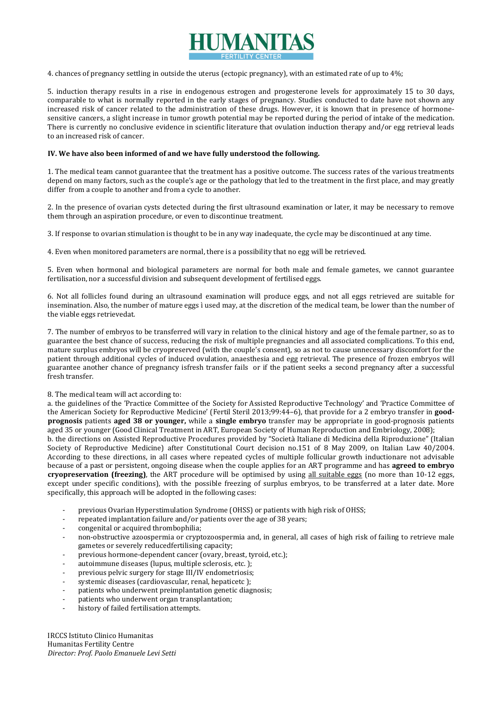

4. chances of pregnancy settling in outside the uterus (ectopic pregnancy), with an estimated rate of up to 4%;

5. induction therapy results in a rise in endogenous estrogen and progesterone levels for approximately 15 to 30 days, comparable to what is normally reported in the early stages of pregnancy. Studies conducted to date have not shown any increased risk of cancer related to the administration of these drugs. However, it is known that in presence of hormonesensitive cancers, a slight increase in tumor growth potential may be reported during the period of intake of the medication. There is currently no conclusive evidence in scientific literature that ovulation induction therapy and/or egg retrieval leads to an increased risk of cancer.

## **IV. We have also been informed of and we have fully understood the following.**

1. The medical team cannot guarantee that the treatment has a positive outcome. The success rates of the various treatments depend on many factors, such as the couple's age or the pathology that led to the treatment in the first place, and may greatly differ from a couple to another and from a cycle to another.

2. In the presence of ovarian cysts detected during the first ultrasound examination or later, it may be necessary to remove them through an aspiration procedure, or even to discontinue treatment.

3. If response to ovarian stimulation is thought to be in any way inadequate, the cycle may be discontinued at any time.

4. Even when monitored parameters are normal, there is a possibility that no egg will be retrieved.

5. Even when hormonal and biological parameters are normal for both male and female gametes, we cannot guarantee fertilisation, nor a successful division and subsequent development of fertilised eggs.

6. Not all follicles found during an ultrasound examination will produce eggs, and not all eggs retrieved are suitable for insemination. Also, the number of mature eggs ì used may, at the discretion of the medical team, be lower than the number of the viable eggs retrievedat.

7. The number of embryos to be transferred will vary in relation to the clinical history and age of the female partner, so as to guarantee the best chance of success, reducing the risk of multiple pregnancies and all associated complications. To this end, mature surplus embryos will be cryopreserved (with the couple's consent), so as not to cause unnecessary discomfort for the patient through additional cycles of induced ovulation, anaesthesia and egg retrieval. The presence of frozen embryos will guarantee another chance of pregnancy isfresh transfer fails or if the patient seeks a second pregnancy after a successful fresh transfer.

## 8. The medical team will act according to:

a. the guidelines of the 'Practice Committee of the Society for Assisted Reproductive Technology' and 'Practice Committee of the American Society for Reproductive Medicine' (Fertil Steril 2013;99:44–6), that provide for a 2 embryo transfer in **goodprognosis** patients **aged 38 or younger,** while a **single embryo** transfer may be appropriate in good-prognosis patients aged 35 or younger (Good Clinical Treatment in ART, European Society of Human Reproduction and Embriology, 2008);

b. the directions on Assisted Reproductive Procedures provided by "Società Italiane di Medicina della Riproduzione" (Italian Society of Reproductive Medicine) after Constitutional Court decision no.151 of 8 May 2009, on Italian Law 40/2004. According to these directions, in all cases where repeated cycles of multiple follicular growth inductionare not advisable because of a past or persistent, ongoing disease when the couple applies for an ART programme and has **agreed to embryo cryopreservation (freezing)**, the ART procedure will be optimised by using all suitable eggs (no more than 10-12 eggs, except under specific conditions), with the possible freezing of surplus embryos, to be transferred at a later date. More specifically, this approach will be adopted in the following cases:

- previous Ovarian Hyperstimulation Syndrome (OHSS) or patients with high risk of OHSS;
- repeated implantation failure and/or patients over the age of 38 years;
- congenital or acquired thrombophilia;
- non-obstructive azoospermia or cryptozoospermia and, in general, all cases of high risk of failing to retrieve male gametes or severely reducedfertilising capacity;
- previous hormone-dependent cancer (ovary, breast, tyroid, etc.);
- autoimmune diseases (lupus, multiple sclerosis, etc.);
- previous pelvic surgery for stage III/IV endometriosis;
- systemic diseases (cardiovascular, renal, hepaticetc);
- patients who underwent preimplantation genetic diagnosis;
- patients who underwent organ transplantation;
- history of failed fertilisation attempts.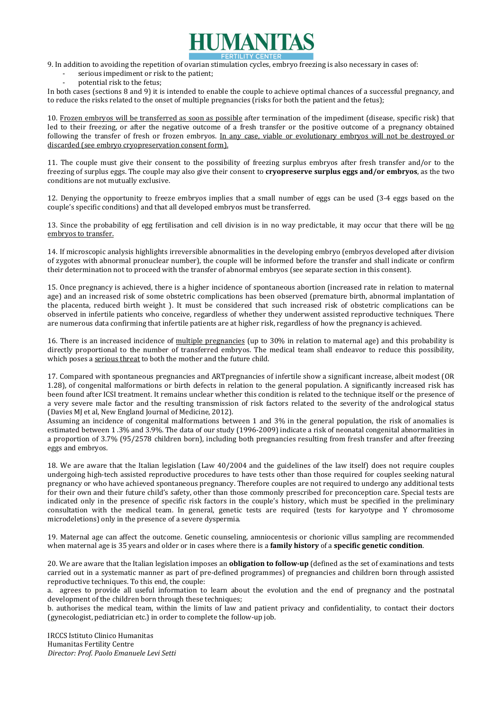

9. In addition to avoiding the repetition of ovarian stimulation cycles, embryo freezing is also necessary in cases of:

- serious impediment or risk to the patient:
- potential risk to the fetus:

In both cases (sections 8 and 9) it is intended to enable the couple to achieve optimal chances of a successful pregnancy, and to reduce the risks related to the onset of multiple pregnancies (risks for both the patient and the fetus);

10. Frozen embryos will be transferred as soon as possible after termination of the impediment (disease, specific risk) that led to their freezing, or after the negative outcome of a fresh transfer or the positive outcome of a pregnancy obtained following the transfer of fresh or frozen embryos. In any case, viable or evolutionary embryos will not be destroyed or discarded (see embryo cryopreservation consent form).

11. The couple must give their consent to the possibility of freezing surplus embryos after fresh transfer and/or to the freezing of surplus eggs. The couple may also give their consent to **cryopreserve surplus eggs and/or embryos**, as the two conditions are not mutually exclusive.

12. Denying the opportunity to freeze embryos implies that a small number of eggs can be used (3-4 eggs based on the couple's specific conditions) and that all developed embryos must be transferred.

13. Since the probability of egg fertilisation and cell division is in no way predictable, it may occur that there will be no embryos to transfer.

14. If microscopic analysis highlights irreversible abnormalities in the developing embryo (embryos developed after division of zygotes with abnormal pronuclear number), the couple will be informed before the transfer and shall indicate or confirm their determination not to proceed with the transfer of abnormal embryos (see separate section in this consent).

15. Once pregnancy is achieved, there is a higher incidence of spontaneous abortion (increased rate in relation to maternal age) and an increased risk of some obstetric complications has been observed (premature birth, abnormal implantation of the placenta, reduced birth weight ). It must be considered that such increased risk of obstetric complications can be observed in infertile patients who conceive, regardless of whether they underwent assisted reproductive techniques. There are numerous data confirming that infertile patients are at higher risk, regardless of how the pregnancy is achieved.

16. There is an increased incidence of multiple pregnancies (up to 30% in relation to maternal age) and this probability is directly proportional to the number of transferred embryos. The medical team shall endeavor to reduce this possibility, which poses a serious threat to both the mother and the future child.

17. Compared with spontaneous pregnancies and ARTpregnancies of infertile show a significant increase, albeit modest (OR 1.28), of congenital malformations or birth defects in relation to the general population. A significantly increased risk has been found after ICSI treatment. It remains unclear whether this condition is related to the technique itself or the presence of a very severe male factor and the resulting transmission of risk factors related to the severity of the andrological status (Davies MJ et al, New England Journal of Medicine, 2012).

Assuming an incidence of congenital malformations between 1 and 3% in the general population, the risk of anomalies is estimated between 1 .3% and 3.9%. The data of our study (1996-2009) indicate a risk of neonatal congenital abnormalities in a proportion of 3.7% (95/2578 children born), including both pregnancies resulting from fresh transfer and after freezing eggs and embryos.

18. We are aware that the Italian legislation (Law 40/2004 and the guidelines of the law itself) does not require couples undergoing high-tech assisted reproductive procedures to have tests other than those required for couples seeking natural pregnancy or who have achieved spontaneous pregnancy. Therefore couples are not required to undergo any additional tests for their own and their future child's safety, other than those commonly prescribed for preconception care. Special tests are indicated only in the presence of specific risk factors in the couple's history, which must be specified in the preliminary consultation with the medical team. In general, genetic tests are required (tests for karyotype and Y chromosome microdeletions) only in the presence of a severe dyspermia.

19. Maternal age can affect the outcome. Genetic counseling, amniocentesis or chorionic villus sampling are recommended when maternal age is 35 years and older or in cases where there is a **family history** of a **specific genetic condition**.

20. We are aware that the Italian legislation imposes an **obligation to follow-up** (defined as the set of examinations and tests carried out in a systematic manner as part of pre-defined programmes) of pregnancies and children born through assisted reproductive techniques. To this end, the couple:

a. agrees to provide all useful information to learn about the evolution and the end of pregnancy and the postnatal development of the children born through these techniques;

b. authorises the medical team, within the limits of law and patient privacy and confidentiality, to contact their doctors (gynecologist, pediatrician etc.) in order to complete the follow-up job.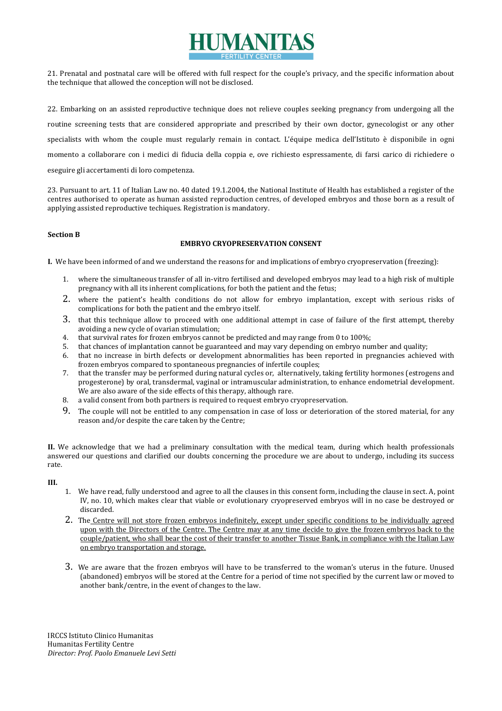

21. Prenatal and postnatal care will be offered with full respect for the couple's privacy, and the specific information about the technique that allowed the conception will not be disclosed.

22. Embarking on an assisted reproductive technique does not relieve couples seeking pregnancy from undergoing all the routine screening tests that are considered appropriate and prescribed by their own doctor, gynecologist or any other specialists with whom the couple must regularly remain in contact. L'équipe medica dell'Istituto è disponibile in ogni momento a collaborare con i medici di fiducia della coppia e, ove richiesto espressamente, di farsi carico di richiedere o eseguire gli accertamenti di loro competenza.

23. Pursuant to art. 11 of Italian Law no. 40 dated 19.1.2004, the National Institute of Health has established a register of the centres authorised to operate as human assisted reproduction centres, of developed embryos and those born as a result of applying assisted reproductive techiques. Registration is mandatory.

# **Section B**

# **EMBRYO CRYOPRESERVATION CONSENT**

**I.** We have been informed of and we understand the reasons for and implications of embryo cryopreservation (freezing):

- 1. where the simultaneous transfer of all in-vitro fertilised and developed embryos may lead to a high risk of multiple pregnancy with all its inherent complications, for both the patient and the fetus;
- 2. where the patient's health conditions do not allow for embryo implantation, except with serious risks of complications for both the patient and the embryo itself.
- 3. that this technique allow to proceed with one additional attempt in case of failure of the first attempt, thereby avoiding a new cycle of ovarian stimulation;
- 4. that survival rates for frozen embryos cannot be predicted and may range from 0 to 100%;
- 5. that chances of implantation cannot be guaranteed and may vary depending on embryo number and quality;
- 6. that no increase in birth defects or development abnormalities has been reported in pregnancies achieved with frozen embryos compared to spontaneous pregnancies of infertile couples;
- 7. that the transfer may be performed during natural cycles or, alternatively, taking fertility hormones (estrogens and progesterone) by oral, transdermal, vaginal or intramuscular administration, to enhance endometrial development. We are also aware of the side effects of this therapy, although rare.
- 8. a valid consent from both partners is required to request embryo cryopreservation.
- 9. The couple will not be entitled to any compensation in case of loss or deterioration of the stored material, for any reason and/or despite the care taken by the Centre;

**II.** We acknowledge that we had a preliminary consultation with the medical team, during which health professionals answered our questions and clarified our doubts concerning the procedure we are about to undergo, including its success rate.

# **III.**

- 1. We have read, fully understood and agree to all the clauses in this consent form, including the clause in sect. A, point IV, no. 10, which makes clear that viable or evolutionary cryopreserved embryos will in no case be destroyed or discarded.
- 2. The Centre will not store frozen embryos indefinitely, except under specific conditions to be individually agreed upon with the Directors of the Centre. The Centre may at any time decide to give the frozen embryos back to the couple/patient, who shall bear the cost of their transfer to another Tissue Bank, in compliance with the Italian Law on embryo transportation and storage.
- 3. We are aware that the frozen embryos will have to be transferred to the woman's uterus in the future. Unused (abandoned) embryos will be stored at the Centre for a period of time not specified by the current law or moved to another bank/centre, in the event of changes to the law.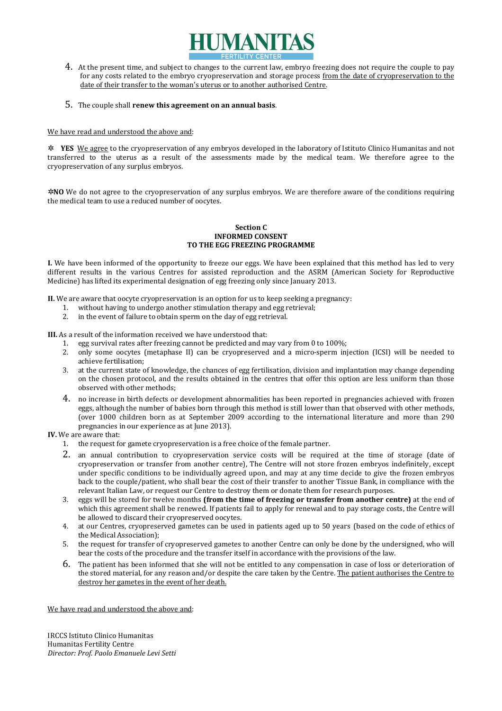

4. At the present time, and subject to changes to the current law, embryo freezing does not require the couple to pay for any costs related to the embryo cryopreservation and storage process from the date of cryopreservation to the date of their transfer to the woman's uterus or to another authorised Centre.

# 5. The couple shall **renew this agreement on an annual basis**.

We have read and understood the above and:

✲ **YES** We agree to the cryopreservation of any embryos developed in the laboratory of Istituto Clinico Humanitas and not transferred to the uterus as a result of the assessments made by the medical team. We therefore agree to the cryopreservation of any surplus embryos.

✲**NO** We do not agree to the cryopreservation of any surplus embryos. We are therefore aware of the conditions requiring the medical team to use a reduced number of oocytes.

#### **Section C INFORMED CONSENT TO THE EGG FREEZING PROGRAMME**

**I.** We have been informed of the opportunity to freeze our eggs. We have been explained that this method has led to very different results in the various Centres for assisted reproduction and the ASRM (American Society for Reproductive Medicine) has lifted its experimental designation of egg freezing only since January 2013.

**II.** We are aware that oocyte cryopreservation is an option for us to keep seeking a pregnancy:

- 1. without having to undergo another stimulation therapy and egg retrieval;
- 2. in the event of failure to obtain sperm on the day of egg retrieval.

**III.** As a result of the information received we have understood that:

- 1. egg survival rates after freezing cannot be predicted and may vary from 0 to 100%;
- 2. only some oocytes (metaphase II) can be cryopreserved and a micro-sperm injection (ICSI) will be needed to achieve fertilisation;
- 3. at the current state of knowledge, the chances of egg fertilisation, division and implantation may change depending on the chosen protocol, and the results obtained in the centres that offer this option are less uniform than those observed with other methods;
- 4. no increase in birth defects or development abnormalities has been reported in pregnancies achieved with frozen eggs, although the number of babies born through this method is still lower than that observed with other methods, (over 1000 children born as at September 2009 according to the international literature and more than 290 pregnancies in our experience as at June 2013).

**IV.** We are aware that:

- 1. the request for gamete cryopreservation is a free choice of the female partner.
- 2. an annual contribution to cryopreservation service costs will be required at the time of storage (date of cryopreservation or transfer from another centre), The Centre will not store frozen embryos indefinitely, except under specific conditions to be individually agreed upon, and may at any time decide to give the frozen embryos back to the couple/patient, who shall bear the cost of their transfer to another Tissue Bank, in compliance with the relevant Italian Law, or request our Centre to destroy them or donate them for research purposes.
- 3. eggs will be stored for twelve months **(from the time of freezing or transfer from another centre)** at the end of which this agreement shall be renewed. If patients fail to apply for renewal and to pay storage costs, the Centre will be allowed to discard their cryopreserved oocytes.
- 4. at our Centres, cryopreserved gametes can be used in patients aged up to 50 years (based on the code of ethics of the Medical Association);
- 5. the request for transfer of cryopreserved gametes to another Centre can only be done by the undersigned, who will bear the costs of the procedure and the transfer itself in accordance with the provisions of the law.
- 6. The patient has been informed that she will not be entitled to any compensation in case of loss or deterioration of the stored material, for any reason and/or despite the care taken by the Centre. The patient authorises the Centre to destroy her gametes in the event of her death.

We have read and understood the above and: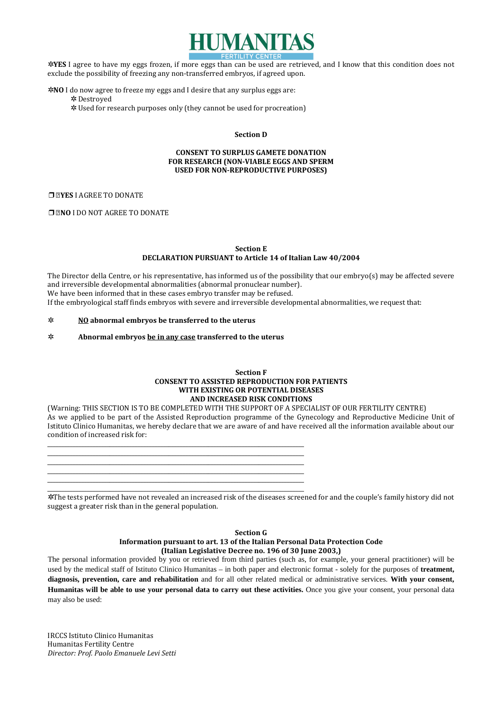

✲**YES** I agree to have my eggs frozen, if more eggs than can be used are retrieved, and I know that this condition does not exclude the possibility of freezing any non-transferred embryos, if agreed upon.

- ✲**NO** I do now agree to freeze my eggs and I desire that any surplus eggs are: ✲ Destroyed
	- ✲ Used for research purposes only (they cannot be used for procreation)

#### **Section D**

# **CONSENT TO SURPLUS GAMETE DONATION FOR RESEARCH (NON-VIABLE EGGS AND SPERM USED FOR NON-REPRODUCTIVE PURPOSES)**

#### ❒**YES** I AGREE TO DONATE

❒**NO** I DO NOT AGREE TO DONATE

# **Section E**

**DECLARATION PURSUANT to Article 14 of Italian Law 40/2004** 

The Director della Centre, or his representative, has informed us of the possibility that our embryo(s) may be affected severe and irreversible developmental abnormalities (abnormal pronuclear number). We have been informed that in these cases embryo transfer may be refused. If the embryological staff finds embryos with severe and irreversible developmental abnormalities, we request that:

# ✲ **NO abnormal embryos be transferred to the uterus**

✲ **Abnormal embryos be in any case transferred to the uterus**

### **Section F CONSENT TO ASSISTED REPRODUCTION FOR PATIENTS WITH EXISTING OR POTENTIAL DISEASES AND INCREASED RISK CONDITIONS**

(Warning: THIS SECTION IS TO BE COMPLETED WITH THE SUPPORT OF A SPECIALIST OF OUR FERTILITY CENTRE) As we applied to be part of the Assisted Reproduction programme of the Gynecology and Reproductive Medicine Unit of Istituto Clinico Humanitas, we hereby declare that we are aware of and have received all the information available about our condition of increased risk for:

\_\_\_\_\_\_\_\_\_\_\_\_\_\_\_\_\_\_\_\_\_\_\_\_\_\_\_\_\_\_\_\_\_\_\_\_\_\_\_\_\_\_\_\_\_\_\_\_\_\_\_\_\_\_\_\_\_\_\_\_\_\_\_\_\_\_\_\_\_\_\_\_\_\_\_\_\_\_\_\_\_\_\_\_\_\_\_\_\_\_\_ \_\_\_\_\_\_\_\_\_\_\_\_\_\_\_\_\_\_\_\_\_\_\_\_\_\_\_\_\_\_\_\_\_\_\_\_\_\_\_\_\_\_\_\_\_\_\_\_\_\_\_\_\_\_\_\_\_\_\_\_\_\_\_\_\_\_\_\_\_\_\_\_\_\_\_\_\_\_\_\_\_\_\_\_\_\_\_\_\_\_\_ \_\_\_\_\_\_\_\_\_\_\_\_\_\_\_\_\_\_\_\_\_\_\_\_\_\_\_\_\_\_\_\_\_\_\_\_\_\_\_\_\_\_\_\_\_\_\_\_\_\_\_\_\_\_\_\_\_\_\_\_\_\_\_\_\_\_\_\_\_\_\_\_\_\_\_\_\_\_\_\_\_\_\_\_\_\_\_\_\_\_\_ \_\_\_\_\_\_\_\_\_\_\_\_\_\_\_\_\_\_\_\_\_\_\_\_\_\_\_\_\_\_\_\_\_\_\_\_\_\_\_\_\_\_\_\_\_\_\_\_\_\_\_\_\_\_\_\_\_\_\_\_\_\_\_\_\_\_\_\_\_\_\_\_\_\_\_\_\_\_\_\_\_\_\_\_\_\_\_\_\_\_\_ \_\_\_\_\_\_\_\_\_\_\_\_\_\_\_\_\_\_\_\_\_\_\_\_\_\_\_\_\_\_\_\_\_\_\_\_\_\_\_\_\_\_\_\_\_\_\_\_\_\_\_\_\_\_\_\_\_\_\_\_\_\_\_\_\_\_\_\_\_\_\_\_\_\_\_\_\_\_\_\_\_\_\_\_\_\_\_\_\_\_\_ \_\_\_\_\_\_\_\_\_\_\_\_\_\_\_\_\_\_\_\_\_\_\_\_\_\_\_\_\_\_\_\_\_\_\_\_\_\_\_\_\_\_\_\_\_\_\_\_\_\_\_\_\_\_\_\_\_\_\_\_\_\_\_\_\_\_\_\_\_\_\_\_\_\_\_\_\_\_\_\_\_\_\_\_\_\_\_\_\_\_\_

✲The tests performed have not revealed an increased risk of the diseases screened for and the couple's family history did not suggest a greater risk than in the general population.

# **Section G Information pursuant to art. 13 of the Italian Personal Data Protection Code (Italian Legislative Decree no. 196 of 30 June 2003,)**

The personal information provided by you or retrieved from third parties (such as, for example, your general practitioner) will be used by the medical staff of Istituto Clinico Humanitas – in both paper and electronic format - solely for the purposes of **treatment, diagnosis, prevention, care and rehabilitation** and for all other related medical or administrative services. **With your consent, Humanitas will be able to use your personal data to carry out these activities.** Once you give your consent, your personal data may also be used: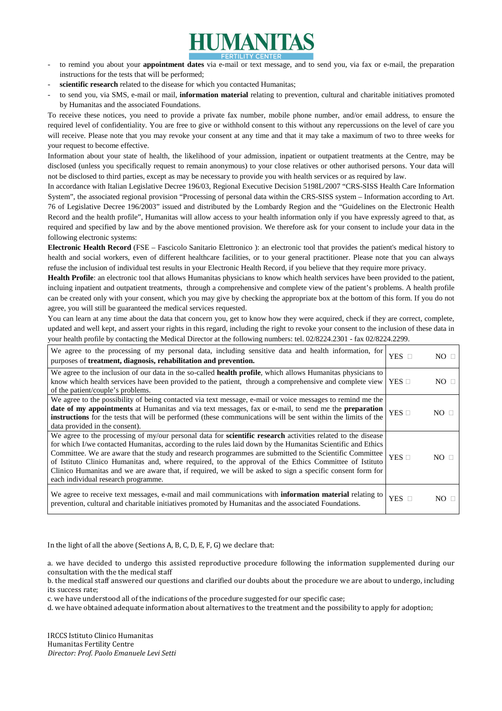

- to remind you about your **appointment dates** via e-mail or text message, and to send you, via fax or e-mail, the preparation instructions for the tests that will be performed;
- scientific research related to the disease for which you contacted Humanitas;
- to send you, via SMS, e-mail or mail, **information material** relating to prevention, cultural and charitable initiatives promoted by Humanitas and the associated Foundations.

To receive these notices, you need to provide a private fax number, mobile phone number, and/or email address, to ensure the required level of confidentiality. You are free to give or withhold consent to this without any repercussions on the level of care you will receive. Please note that you may revoke your consent at any time and that it may take a maximum of two to three weeks for your request to become effective.

Information about your state of health, the likelihood of your admission, inpatient or outpatient treatments at the Centre, may be disclosed (unless you specifically request to remain anonymous) to your close relatives or other authorised persons. Your data will not be disclosed to third parties, except as may be necessary to provide you with health services or as required by law.

In accordance with Italian Legislative Decree 196/03, Regional Executive Decision 5198L/2007 "CRS-SISS Health Care Information System", the associated regional provision "Processing of personal data within the CRS-SISS system – Information according to Art. 76 of Legislative Decree 196/2003" issued and distributed by the Lombardy Region and the "Guidelines on the Electronic Health Record and the health profile", Humanitas will allow access to your health information only if you have expressly agreed to that, as required and specified by law and by the above mentioned provision. We therefore ask for your consent to include your data in the following electronic systems:

**Electronic Health Record** (FSE – Fascicolo Sanitario Elettronico ): an electronic tool that provides the patient's medical history to health and social workers, even of different healthcare facilities, or to your general practitioner. Please note that you can always refuse the inclusion of individual test results in your Electronic Health Record, if you believe that they require more privacy.

**Health Profile**: an electronic tool that allows Humanitas physicians to know which health services have been provided to the patient, incluing inpatient and outpatient treatments, through a comprehensive and complete view of the patient's problems. A health profile can be created only with your consent, which you may give by checking the appropriate box at the bottom of this form. If you do not agree, you will still be guaranteed the medical services requested.

You can learn at any time about the data that concern you, get to know how they were acquired, check if they are correct, complete, updated and well kept, and assert your rights in this regard, including the right to revoke your consent to the inclusion of these data in your health profile by contacting the Medical Director at the following numbers: tel. 02/8224.2301 - fax 02/8224.2299.

| We agree to the processing of my personal data, including sensitive data and health information, for<br>purposes of treatment, diagnosis, rehabilitation and prevention.                                                                                                                                                                                                                                                                                                                                                                                                                                      | $YES$ $\square$ | $NO \Box$    |
|---------------------------------------------------------------------------------------------------------------------------------------------------------------------------------------------------------------------------------------------------------------------------------------------------------------------------------------------------------------------------------------------------------------------------------------------------------------------------------------------------------------------------------------------------------------------------------------------------------------|-----------------|--------------|
| We agree to the inclusion of our data in the so-called health profile, which allows Humanitas physicians to<br>know which health services have been provided to the patient, through a comprehensive and complete view   YES $\Box$<br>of the patient/couple's problems.                                                                                                                                                                                                                                                                                                                                      |                 | $NO \square$ |
| We agree to the possibility of being contacted via text message, e-mail or voice messages to remind me the<br>date of my appointments at Humanitas and via text messages, fax or e-mail, to send me the preparation<br>instructions for the tests that will be performed (these communications will be sent within the limits of the<br>data provided in the consent).                                                                                                                                                                                                                                        | YES $\square$   | $NO \Box$    |
| We agree to the processing of my/our personal data for <b>scientific research</b> activities related to the disease<br>for which I/we contacted Humanitas, according to the rules laid down by the Humanitas Scientific and Ethics<br>Committee. We are aware that the study and research programmes are submitted to the Scientific Committee<br>of Istituto Clinico Humanitas and, where required, to the approval of the Ethics Committee of Istituto<br>Clinico Humanitas and we are aware that, if required, we will be asked to sign a specific consent form for<br>each individual research programme. | YES $\Box$      | $NO \Box$    |
| We agree to receive text messages, e-mail and mail communications with information material relating to<br>prevention, cultural and charitable initiatives promoted by Humanitas and the associated Foundations.                                                                                                                                                                                                                                                                                                                                                                                              | $YES$ $\square$ | $NO \square$ |

In the light of all the above (Sections A, B, C, D, E, F, G) we declare that:

a. we have decided to undergo this assisted reproductive procedure following the information supplemented during our consultation with the the medical staff

b. the medical staff answered our questions and clarified our doubts about the procedure we are about to undergo, including its success rate;

c. we have understood all of the indications of the procedure suggested for our specific case;

d. we have obtained adequate information about alternatives to the treatment and the possibility to apply for adoption;